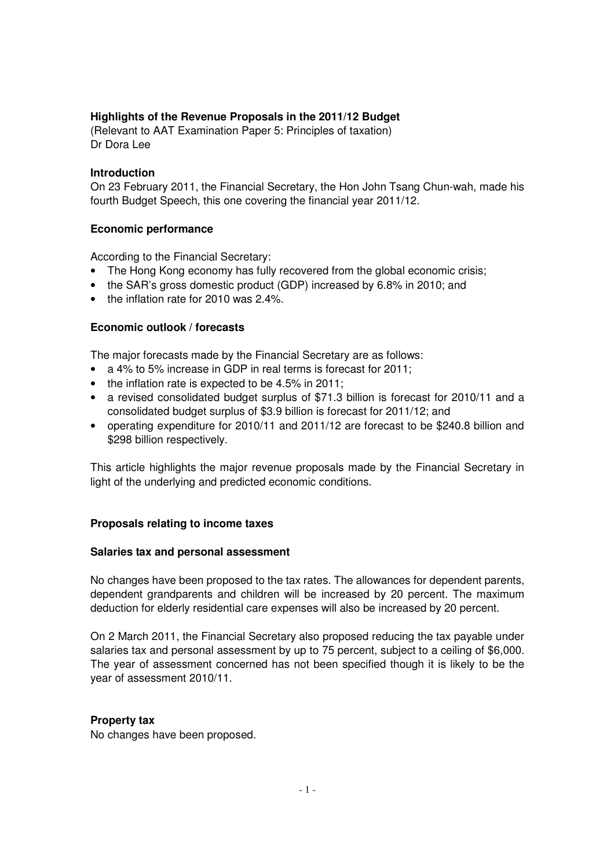# **Highlights of the Revenue Proposals in the 2011/12 Budget**

(Relevant to AAT Examination Paper 5: Principles of taxation) Dr Dora Lee

#### **Introduction**

On 23 February 2011, the Financial Secretary, the Hon John Tsang Chun-wah, made his fourth Budget Speech, this one covering the financial year 2011/12.

#### **Economic performance**

According to the Financial Secretary:

- The Hong Kong economy has fully recovered from the global economic crisis;
- the SAR's gross domestic product (GDP) increased by 6.8% in 2010; and
- the inflation rate for 2010 was 2.4%.

#### **Economic outlook / forecasts**

The major forecasts made by the Financial Secretary are as follows:

- a 4% to 5% increase in GDP in real terms is forecast for 2011;
- the inflation rate is expected to be 4.5% in 2011;
- a revised consolidated budget surplus of \$71.3 billion is forecast for 2010/11 and a consolidated budget surplus of \$3.9 billion is forecast for 2011/12; and
- operating expenditure for 2010/11 and 2011/12 are forecast to be \$240.8 billion and \$298 billion respectively.

This article highlights the major revenue proposals made by the Financial Secretary in light of the underlying and predicted economic conditions.

#### **Proposals relating to income taxes**

#### **Salaries tax and personal assessment**

No changes have been proposed to the tax rates. The allowances for dependent parents, dependent grandparents and children will be increased by 20 percent. The maximum deduction for elderly residential care expenses will also be increased by 20 percent.

On 2 March 2011, the Financial Secretary also proposed reducing the tax payable under salaries tax and personal assessment by up to 75 percent, subject to a ceiling of \$6,000. The year of assessment concerned has not been specified though it is likely to be the year of assessment 2010/11.

#### **Property tax**

No changes have been proposed.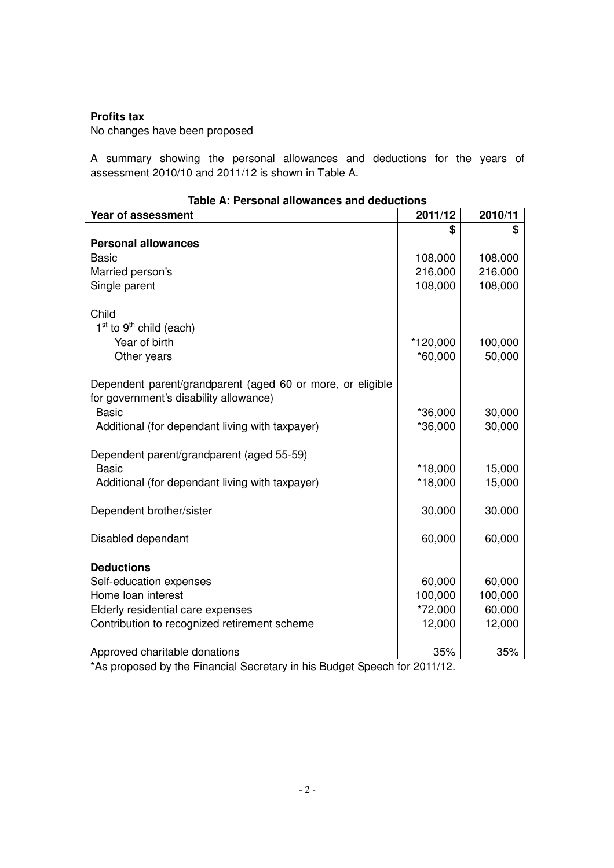### **Profits tax**

No changes have been proposed

A summary showing the personal allowances and deductions for the years of assessment 2010/10 and 2011/12 is shown in Table A.

| <u>iable A. Fersoniai alluwantes and deductions</u>                       |           |         |  |  |  |
|---------------------------------------------------------------------------|-----------|---------|--|--|--|
| Year of assessment                                                        | 2011/12   | 2010/11 |  |  |  |
|                                                                           | \$        | \$      |  |  |  |
| <b>Personal allowances</b>                                                |           |         |  |  |  |
| <b>Basic</b>                                                              | 108,000   | 108,000 |  |  |  |
| Married person's                                                          | 216,000   | 216,000 |  |  |  |
| Single parent                                                             | 108,000   | 108,000 |  |  |  |
|                                                                           |           |         |  |  |  |
| Child                                                                     |           |         |  |  |  |
| $1st$ to 9 <sup>th</sup> child (each)                                     |           |         |  |  |  |
| Year of birth                                                             | *120,000  | 100,000 |  |  |  |
| Other years                                                               | $*60,000$ | 50,000  |  |  |  |
| Dependent parent/grandparent (aged 60 or more, or eligible                |           |         |  |  |  |
| for government's disability allowance)                                    |           |         |  |  |  |
| <b>Basic</b>                                                              | *36,000   | 30,000  |  |  |  |
| Additional (for dependant living with taxpayer)                           | *36,000   | 30,000  |  |  |  |
|                                                                           |           |         |  |  |  |
| Dependent parent/grandparent (aged 55-59)                                 |           |         |  |  |  |
| <b>Basic</b>                                                              | *18,000   | 15,000  |  |  |  |
| Additional (for dependant living with taxpayer)                           | $*18,000$ | 15,000  |  |  |  |
|                                                                           |           |         |  |  |  |
| Dependent brother/sister                                                  | 30,000    | 30,000  |  |  |  |
|                                                                           |           |         |  |  |  |
| Disabled dependant                                                        | 60,000    | 60,000  |  |  |  |
|                                                                           |           |         |  |  |  |
| <b>Deductions</b>                                                         |           |         |  |  |  |
| Self-education expenses                                                   | 60,000    | 60,000  |  |  |  |
| Home loan interest                                                        | 100,000   | 100,000 |  |  |  |
| Elderly residential care expenses                                         | *72,000   | 60,000  |  |  |  |
| Contribution to recognized retirement scheme                              | 12,000    | 12,000  |  |  |  |
| Approved charitable donations                                             | 35%       | 35%     |  |  |  |
| *As proposed by the Financial Secretary in his Budget Speech for 2011/12. |           |         |  |  |  |

| Table A: Personal allowances and deductions |  |  |
|---------------------------------------------|--|--|
|---------------------------------------------|--|--|